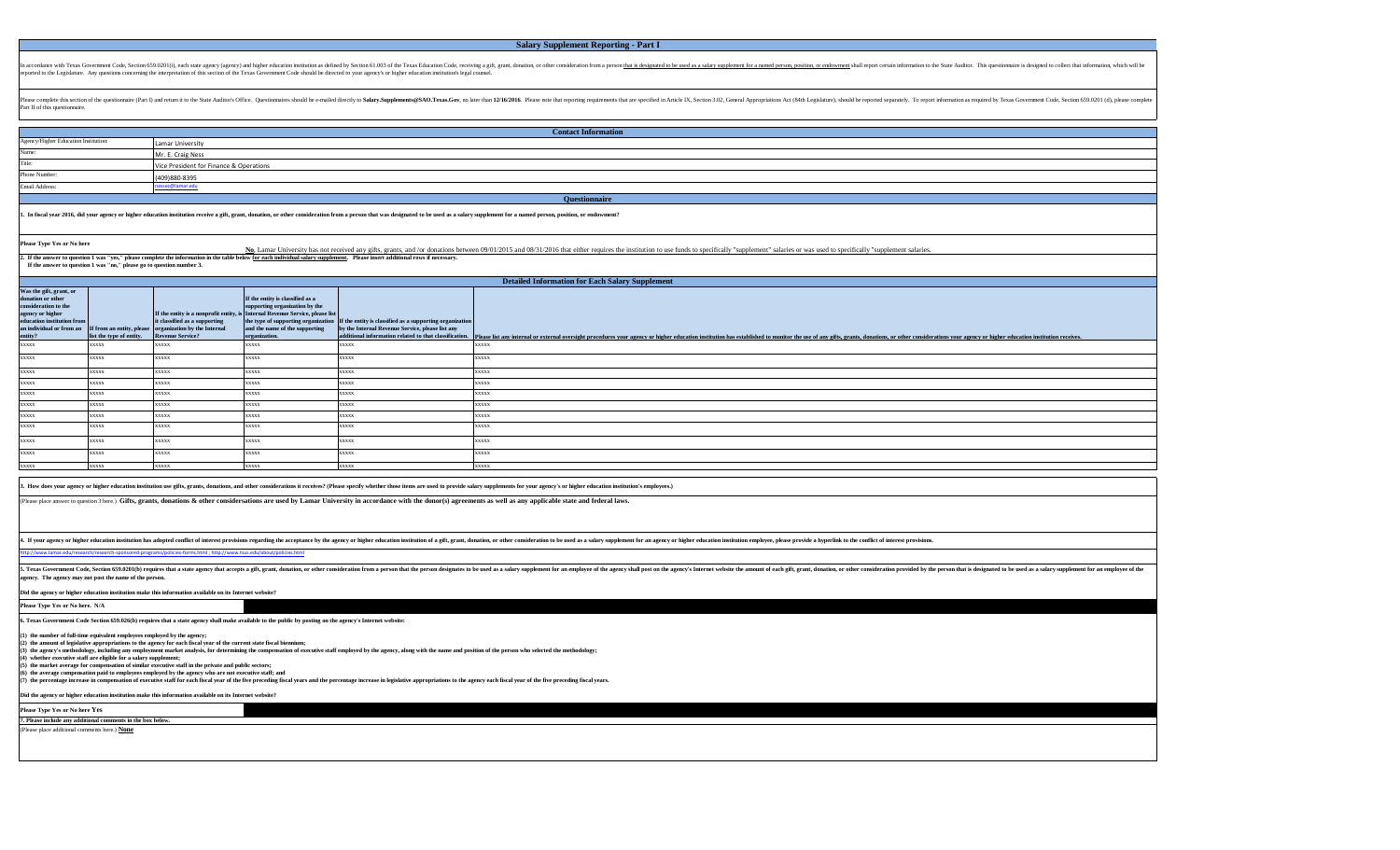## **Salary Supplement Reporting - Part I**

In accordance with Texas Government Code, Section 659.0201(i), each state agency (agency) and higher education institution as defined by Section 61.003 of the Texas Education Code, receiving a gift, grant, donation, or oth reported to the Legislature. Any questions concerning the interpretation of this section of the Texas Government Code should be directed to your agency's or higher education institution's legal counsel.

Pease complete this section of the questionnire (Part I) and return it to the State Auditor's Office. Questionnaires should be e-mailed directly to Salary.Supplements@SAO.Texas.Gov, no later than 12/16/2016. Please note th Part II of this questionnaire.

| <b>Contact Information</b>           |                                         |  |  |
|--------------------------------------|-----------------------------------------|--|--|
| Agency/Higher Education Institution: | Lamar University                        |  |  |
| Name:                                | Mr. E. Craig Ness                       |  |  |
| Title:                               | Vice President for Finance & Operations |  |  |
| Phone Number:                        | (409)880-8395                           |  |  |
| Email Address:                       | ssec@lamar.6                            |  |  |
| <b>Questionnaire</b>                 |                                         |  |  |

1. In fiscal year 2016, did your agency or higher education institution receive a gift, grant, donation, or other consideration from a person that was designated to be used as a salary supplement for a named person, positi

**Please Type Yes or No here**

2. If the answer to question 1 was "yes," please complete the information in the table below <u>for each individual salary supplement</u>. Please insert additional rows if necessary.<br>If the answer to question 1 was "no," pleas No, Lamar University has not received any gifts, grants, and /or donations between 09/01/2015 and 08/31/2016 that either requires the institution to use funds to specifically "supplement" salaries or was used to specifical

**Was the gift, grant, or donation or other consideration to the agency or higher education institution from an individual or from an entity? If from an entity, please list the type of entity.**  If the entity is a nonprofit entity, **it classified as a supporting organization by the Internal Rue Service? If the entity is classified as a supporting organization by the Internal Revenue Service, please list the type of supporting organization and the name of the supporting organization. If the entity is classified as a supporting organization by the Internal Revenue Service, please list any additional information related to that classification.** xxxxx xxxxx xxxxx xxxxx xxxxx xxxxx xxxxx xxxxx xxxxx xxxxx xxxxx xxxxx xxxxx xxxxx xxxxx xxxxx xxxxx xxxxx xxxxx xxxxx xxxxx xxxxx xxxxx xxxxx xxxxx xxxxx xxxxx xxxxx xxxxx xxxxx xxxxx xxxxx xxxxx xxxxx xxxxx xxxxx xxxxx xxxxx xxxxx xxxxx xxxxx xxxxx xxxxx xxxxx xxxxx xxxxx xxxxx xxxxx xxxxx xxxxx xxxxx xxxxx xxxxx xxxxx xxxxx xxxxx xxxxx lease list any internal or external oversight procedures your agency or higher education institution has established to monitor the use of any gifts, grants, donations, or other considerations your agency or higher educati xxxxx xxxxx xxxxx **Detailed Information for Each Salary Supplement** xxxxx xxxxx xxxxx xxxxx xxxxx xxxxx

3. How does your agency or higher education institution use gifts, grants, donations, and other considerations it receives? (Please specify whether those items are used to provide salary supplements for your agency's or hi

(Please place answer to question 3 here.) **Gifts, grants, donations & other considersations are used by Lamar University in accordance with the donor(s) agreements as well as any applicable state and federal laws.**

4. If your agency or higher education institution has adopted conflict of interest provisions regarding the acceptance by the agency or higher education institution of a gift, grant, donation, or other consideration to be

[http://www.lamar.edu/research/research-sponsored-programs/policies-forms.html ; http://www.tsus.edu/about/policies.html](http://www.lamar.edu/research/research-sponsored-programs/policies-forms.html%20;)

5. Texas Government Code, Section 659.0201(b) requires that a state agency that accepts a gift, grant, donation, or other consideration from a person that the person designates to be used as a salary supplement for an empl ency. The agency may not post the name of the pers

**Did the agency or higher education institution make this information available on its Internet website?** 

**Please Type Yes or No here. N/A**

**6. Texas Government Code Section 659.026(b) requires that a state agency shall make available to the public by posting on the agency's Internet website:**

**(1) the number of full-time equivalent employees employed by the agency; (2) the amount of legislative appropriations to the agency for each fiscal year of the current state fiscal biennium;** (3) the agency's methodology, including any employment market analysis, for determining the compensation of executive staff employed by the agency, along with the name and position of the person who selected the methodolog **(4) whether executive staff are eligible for a salary supplement; (5) the market average for compensation of similar executive staff in the private and public sectors;**

(6) the average compensation paid to employes employed by the agency who are not executive staff, and<br>(7) the percentage increase in compensation of executive staff for each fiscal years of the five preceding fiscal years,

**Did the agency or higher education institution make this information available on its Internet website?** 

**Please Type Yes or No here Yes 7. Please include any additional comments in the box below.**

(Please place additional comments here.) **None**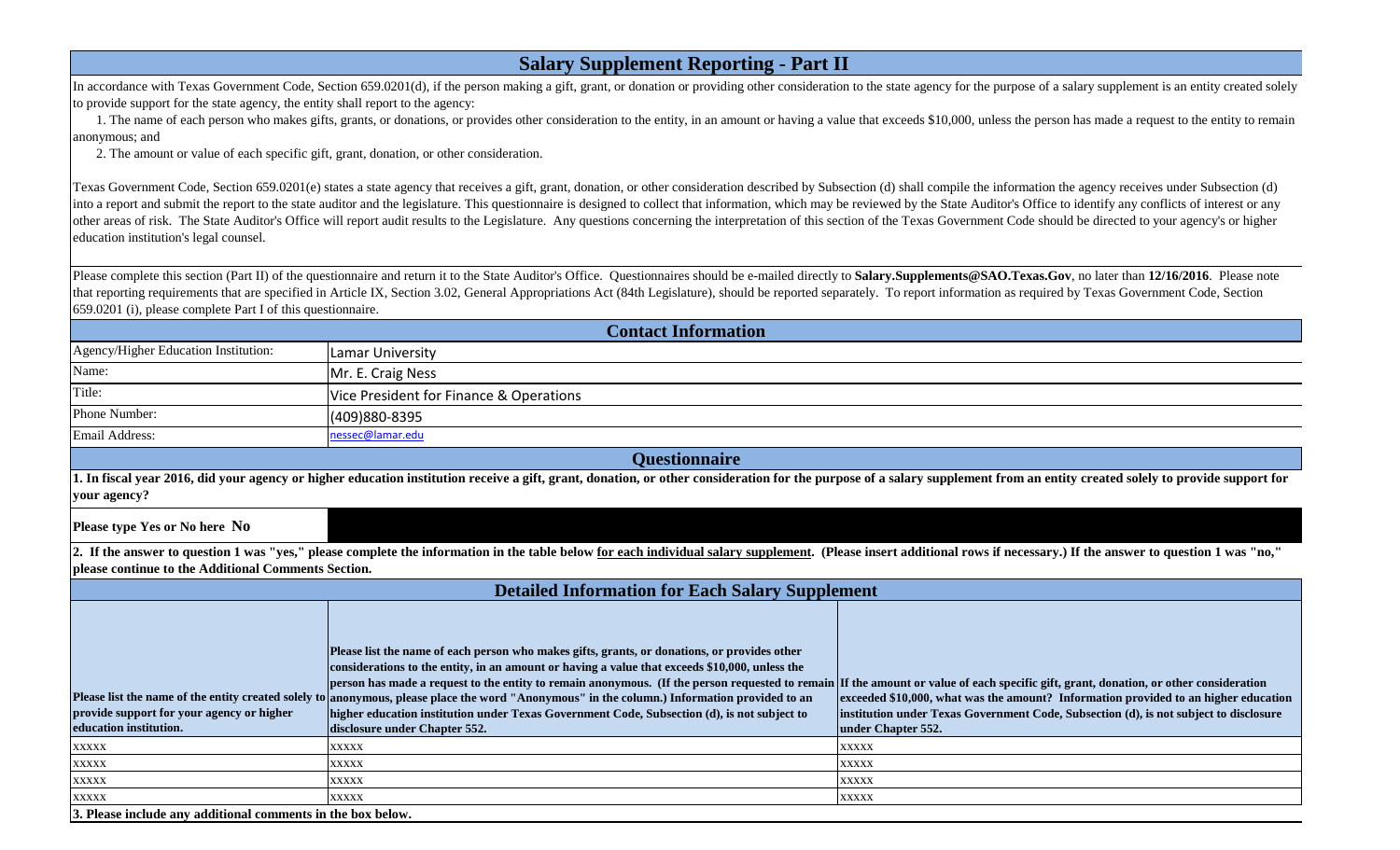| In accordance with Texas Government Code, Section 659.0201(d), if the person making a gift, grant, or donation or providing other consideration to the state agency for the purpose of a salary supplement is an entity create |
|--------------------------------------------------------------------------------------------------------------------------------------------------------------------------------------------------------------------------------|
| to provide support for the state agency, the entity shall report to the agency:                                                                                                                                                |

**Salary Supplement Reporting - Part II** 

1. The name of each person who makes gifts, grants, or donations, or provides other consideration to the entity, in an amount or having a value that exceeds \$10,000, unless the person has made a request to the entity to re anonymous; and

2. The amount or value of each specific gift, grant, donation, or other consideration.

Texas Government Code, Section 659.0201(e) states a state agency that receives a gift, grant, donation, or other consideration described by Subsection (d) shall compile the information the agency receives under Subsection into a report and submit the report to the state auditor and the legislature. This questionnaire is designed to collect that information, which may be reviewed by the State Auditor's Office to identify any conflicts of int other areas of risk. The State Auditor's Office will report audit results to the Legislature. Any questions concerning the interpretation of this section of the Texas Government Code should be directed to your agency's or education institution's legal counsel.

Please complete this section (Part II) of the questionnaire and return it to the State Auditor's Office. Questionnaires should be e-mailed directly to Salary. Supplements@SAO.Texas.Gov, no later than 12/16/2016. Please not that reporting requirements that are specified in Article IX, Section 3.02, General Appropriations Act (84th Legislature), should be reported separately. To report information as required by Texas Government Code, Section 659.0201 (i), please complete Part I of this questionnaire.

| <b>Contact Information</b>                                                                                                                                                                                                                                                     |                                                                                                                                                                                                                                                                                                                                                                                                                                                                                                                                                                                                                                                                         |                                                                                                                                                                                                    |  |  |
|--------------------------------------------------------------------------------------------------------------------------------------------------------------------------------------------------------------------------------------------------------------------------------|-------------------------------------------------------------------------------------------------------------------------------------------------------------------------------------------------------------------------------------------------------------------------------------------------------------------------------------------------------------------------------------------------------------------------------------------------------------------------------------------------------------------------------------------------------------------------------------------------------------------------------------------------------------------------|----------------------------------------------------------------------------------------------------------------------------------------------------------------------------------------------------|--|--|
| Agency/Higher Education Institution:                                                                                                                                                                                                                                           | <b>Lamar University</b>                                                                                                                                                                                                                                                                                                                                                                                                                                                                                                                                                                                                                                                 |                                                                                                                                                                                                    |  |  |
| Name:                                                                                                                                                                                                                                                                          | Mr. E. Craig Ness                                                                                                                                                                                                                                                                                                                                                                                                                                                                                                                                                                                                                                                       |                                                                                                                                                                                                    |  |  |
| Title:                                                                                                                                                                                                                                                                         | Vice President for Finance & Operations                                                                                                                                                                                                                                                                                                                                                                                                                                                                                                                                                                                                                                 |                                                                                                                                                                                                    |  |  |
| Phone Number:                                                                                                                                                                                                                                                                  | (409)880-8395                                                                                                                                                                                                                                                                                                                                                                                                                                                                                                                                                                                                                                                           |                                                                                                                                                                                                    |  |  |
| Email Address:                                                                                                                                                                                                                                                                 | nessec@lamar.edu                                                                                                                                                                                                                                                                                                                                                                                                                                                                                                                                                                                                                                                        |                                                                                                                                                                                                    |  |  |
| <b>Questionnaire</b>                                                                                                                                                                                                                                                           |                                                                                                                                                                                                                                                                                                                                                                                                                                                                                                                                                                                                                                                                         |                                                                                                                                                                                                    |  |  |
| 1. In fiscal year 2016, did your agency or higher education institution receive a gift, grant, donation, or other consideration for the purpose of a salary supplement from an entity created solely to provide support for<br>your agency?                                    |                                                                                                                                                                                                                                                                                                                                                                                                                                                                                                                                                                                                                                                                         |                                                                                                                                                                                                    |  |  |
| Please type Yes or No here No                                                                                                                                                                                                                                                  |                                                                                                                                                                                                                                                                                                                                                                                                                                                                                                                                                                                                                                                                         |                                                                                                                                                                                                    |  |  |
| 2. If the answer to question 1 was "yes," please complete the information in the table below for each individual salary supplement. (Please insert additional rows if necessary.) If the answer to question 1 was "no,"<br>please continue to the Additional Comments Section. |                                                                                                                                                                                                                                                                                                                                                                                                                                                                                                                                                                                                                                                                         |                                                                                                                                                                                                    |  |  |
| <b>Detailed Information for Each Salary Supplement</b>                                                                                                                                                                                                                         |                                                                                                                                                                                                                                                                                                                                                                                                                                                                                                                                                                                                                                                                         |                                                                                                                                                                                                    |  |  |
| provide support for your agency or higher<br>education institution.                                                                                                                                                                                                            | Please list the name of each person who makes gifts, grants, or donations, or provides other<br>considerations to the entity, in an amount or having a value that exceeds \$10,000, unless the<br>person has made a request to the entity to remain anonymous. (If the person requested to remain If the amount or value of each specific gift, grant, donation, or other consideration<br>Please list the name of the entity created solely to anonymous, please place the word "Anonymous" in the column.) Information provided to an<br>higher education institution under Texas Government Code, Subsection (d), is not subject to<br>disclosure under Chapter 552. | exceeded \$10,000, what was the amount? Information provided to an higher education<br>institution under Texas Government Code, Subsection (d), is not subject to disclosure<br>under Chapter 552. |  |  |
| <b>XXXXX</b>                                                                                                                                                                                                                                                                   | <b>XXXXX</b>                                                                                                                                                                                                                                                                                                                                                                                                                                                                                                                                                                                                                                                            | <b>XXXXX</b>                                                                                                                                                                                       |  |  |
| <b>XXXXX</b>                                                                                                                                                                                                                                                                   | <b>XXXXX</b>                                                                                                                                                                                                                                                                                                                                                                                                                                                                                                                                                                                                                                                            | <b>XXXXX</b>                                                                                                                                                                                       |  |  |
| <b>XXXXX</b>                                                                                                                                                                                                                                                                   | <b>XXXXX</b>                                                                                                                                                                                                                                                                                                                                                                                                                                                                                                                                                                                                                                                            | <b>XXXXX</b>                                                                                                                                                                                       |  |  |
| <b>XXXXX</b>                                                                                                                                                                                                                                                                   | <b>XXXXX</b>                                                                                                                                                                                                                                                                                                                                                                                                                                                                                                                                                                                                                                                            | <b>XXXXX</b>                                                                                                                                                                                       |  |  |
| 3. Please include any additional comments in the box below.                                                                                                                                                                                                                    |                                                                                                                                                                                                                                                                                                                                                                                                                                                                                                                                                                                                                                                                         |                                                                                                                                                                                                    |  |  |